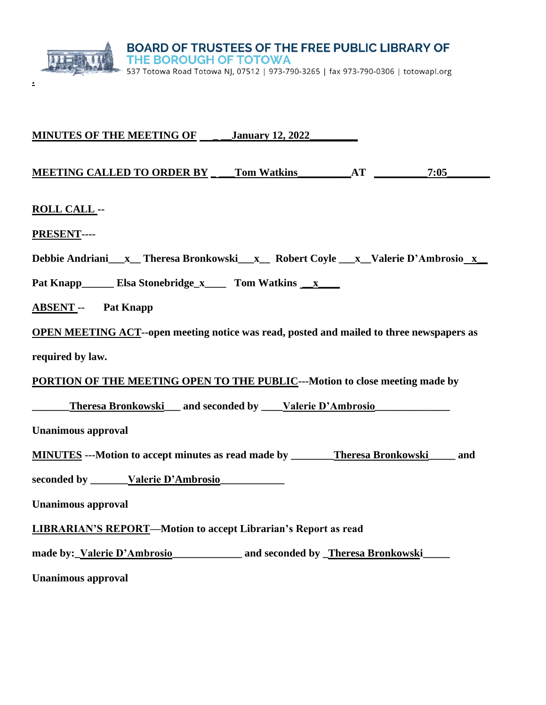

**.**

| <b>MINUTES OF THE MEETING OF ____ January 12, 2022</b>                                          |  |  |  |
|-------------------------------------------------------------------------------------------------|--|--|--|
| MEETING CALLED TO ORDER BY Tom Watkins AT 7:05                                                  |  |  |  |
| <b>ROLL CALL --</b>                                                                             |  |  |  |
| PRESENT----                                                                                     |  |  |  |
| Debbie Andriani__x_Theresa Bronkowski__x_ Robert Coyle __x_Valerie D'Ambrosio_x_                |  |  |  |
| Pat Knapp_________ Elsa Stonebridge_x________ Tom Watkins ________                              |  |  |  |
| <b>ABSENT</b> -- Pat Knapp                                                                      |  |  |  |
| <b>OPEN MEETING ACT--open meeting notice was read, posted and mailed to three newspapers as</b> |  |  |  |
| required by law.                                                                                |  |  |  |
| <b>PORTION OF THE MEETING OPEN TO THE PUBLIC--- Motion to close meeting made by</b>             |  |  |  |
| <b>Theresa Bronkowski___ and seconded by ____Valerie D'Ambrosio__________________</b>           |  |  |  |
| <b>Unanimous approval</b>                                                                       |  |  |  |
| <b>MINUTES</b> --- Motion to accept minutes as read made by _______Theresa Bronkowski_____ and  |  |  |  |
| seconded by _______ Valerie D'Ambrosio                                                          |  |  |  |
| <b>Unanimous approval</b>                                                                       |  |  |  |
| <b>LIBRARIAN'S REPORT-Motion to accept Librarian's Report as read</b>                           |  |  |  |
| made by: Valerie D'Ambrosio and seconded by Theresa Bronkowski                                  |  |  |  |
| <b>Unanimous approval</b>                                                                       |  |  |  |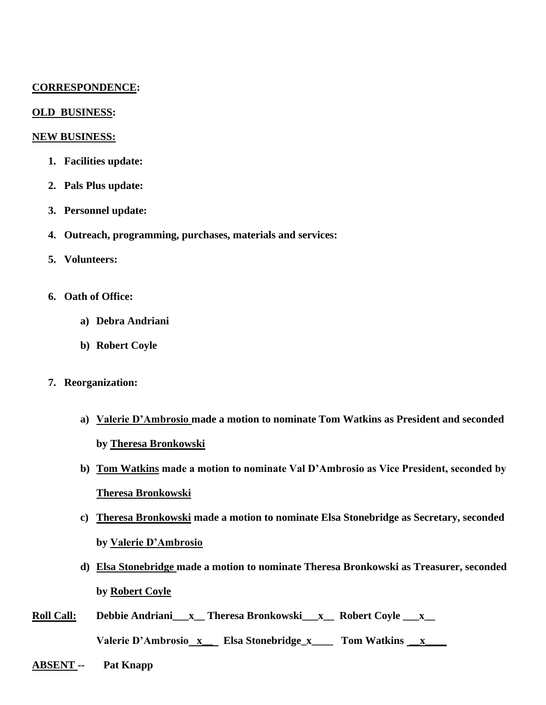## **CORRESPONDENCE:**

### **OLD BUSINESS:**

#### **NEW BUSINESS:**

- **1. Facilities update:**
- **2. Pals Plus update:**
- **3. Personnel update:**
- **4. Outreach, programming, purchases, materials and services:**
- **5. Volunteers:**
- **6. Oath of Office:** 
	- **a) Debra Andriani**
	- **b) Robert Coyle**
- **7. Reorganization:**
	- **a) Valerie D'Ambrosio made a motion to nominate Tom Watkins as President and seconded by Theresa Bronkowski**
	- **b) Tom Watkins made a motion to nominate Val D'Ambrosio as Vice President, seconded by Theresa Bronkowski**
	- **c) Theresa Bronkowski made a motion to nominate Elsa Stonebridge as Secretary, seconded by Valerie D'Ambrosio**
	- **d) Elsa Stonebridge made a motion to nominate Theresa Bronkowski as Treasurer, seconded by Robert Coyle**
- **Roll Call: Debbie Andriani\_\_\_x\_\_ Theresa Bronkowski\_\_\_x\_\_ Robert Coyle \_\_\_x\_\_** Valerie D'Ambrosio x Elsa Stonebridge\_x Tom Watkins x
- **ABSENT -- Pat Knapp**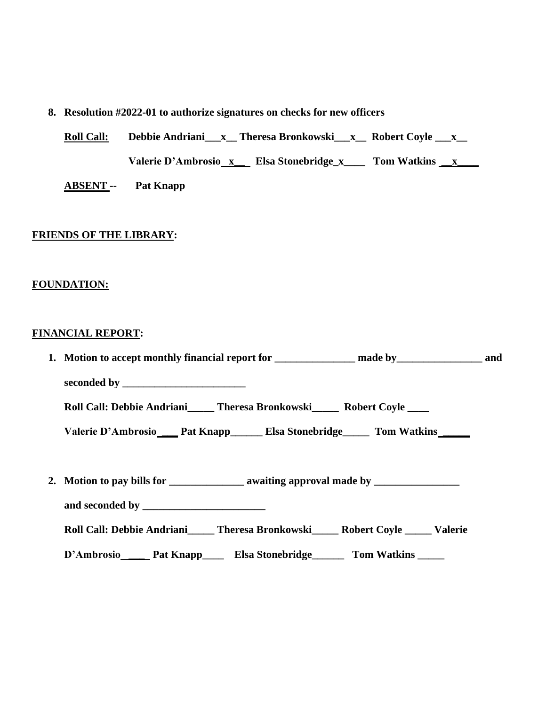# **8. Resolution #2022-01 to authorize signatures on checks for new officers**

**Roll Call: Debbie Andriani\_\_\_x\_\_ Theresa Bronkowski\_\_\_x\_\_ Robert Coyle \_\_\_x\_\_** Valerie D'Ambrosio x Elsa Stonebridge\_x Tom Watkins x

**ABSENT -- Pat Knapp**

# **FRIENDS OF THE LIBRARY:**

## **FOUNDATION:**

### **FINANCIAL REPORT:**

| 1. Motion to accept monthly financial report for _____________ made by_______________________ and    |  |
|------------------------------------------------------------------------------------------------------|--|
|                                                                                                      |  |
| Roll Call: Debbie Andriani_____ Theresa Bronkowski_____ Robert Coyle ____                            |  |
| Valerie D'Ambrosio___ Pat Knapp_____ Elsa Stonebridge_____ Tom Watkins_____                          |  |
|                                                                                                      |  |
| 2. Motion to pay bills for ______________________ awaiting approval made by ________________________ |  |
|                                                                                                      |  |
| Roll Call: Debbie Andriani_____ Theresa Bronkowski_____ Robert Coyle _____ Valerie                   |  |
| D'Ambrosio Pat Knapp Elsa Stonebridge Tom Watkins ______                                             |  |